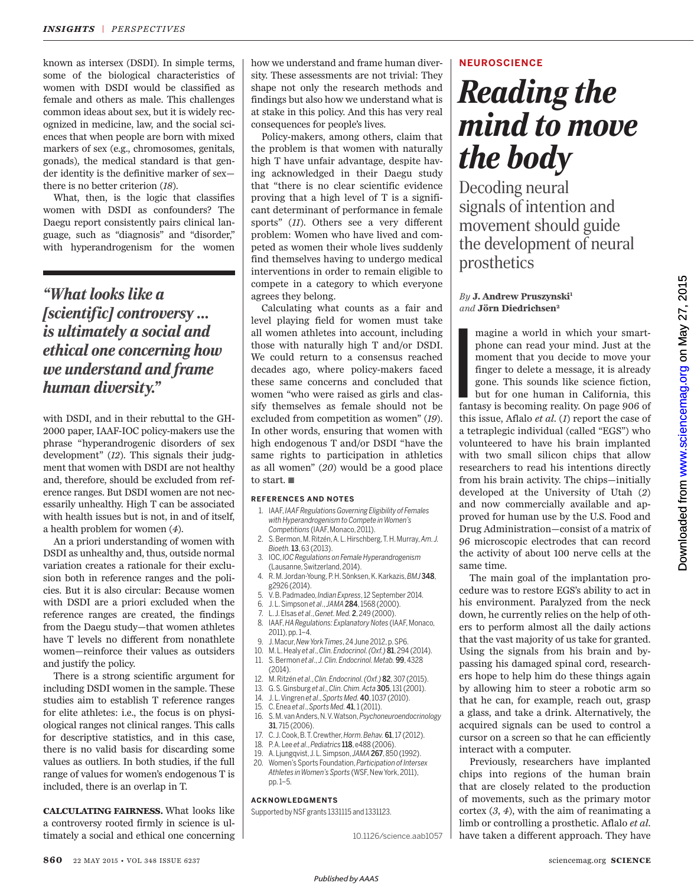known as intersex (DSDI). In simple terms, some of the biological characteristics of women with DSDI would be classified as female and others as male. This challenges common ideas about sex, but it is widely recognized in medicine, law, and the social sciences that when people are born with mixed markers of sex (e.g., chromosomes, genitals, gonads), the medical standard is that gender identity is the definitive marker of sex there is no better criterion (18).

What, then, is the logic that classifies women with DSDI as confounders? The Daegu report consistently pairs clinical language, such as "diagnosis" and "disorder," with hyperandrogenism for the women

# *"What looks like a [scientific] controversy … is ultimately a social and ethical one concerning how we understand and frame*

with DSDI, and in their rebuttal to the GH-2000 paper, IAAF-IOC policy-makers use the phrase "hyperandrogenic disorders of sex development" (12). This signals their judgment that women with DSDI are not healthy and, therefore, should be excluded from reference ranges. But DSDI women are not necessarily unhealthy. High T can be associated with health issues but is not, in and of itself, a health problem for women (4).

An a priori understanding of women with DSDI as unhealthy and, thus, outside normal variation creates a rationale for their exclusion both in reference ranges and the policies. But it is also circular: Because women with DSDI are a priori excluded when the reference ranges are created, the findings from the Daegu study—that women athletes have T levels no different from nonathlete women—reinforce their values as outsiders and justify the policy.

There is a strong scientific argument for including DSDI women in the sample. These studies aim to establish T reference ranges for elite athletes: i.e., the focus is on physiological ranges not clinical ranges. This calls for descriptive statistics, and in this case, there is no valid basis for discarding some values as outliers. In both studies, if the full range of values for women's endogenous T is included, there is an overlap in T.

**CALCULATING FAIRNESS.** What looks like a controversy rooted firmly in science is ultimately a social and ethical one concerning how we understand and frame human diversity. These assessments are not trivial: They shape not only the research methods and findings but also how we understand what is at stake in this policy. And this has very real consequences for people's lives.

Policy-makers, among others, claim that the problem is that women with naturally high T have unfair advantage, despite having acknowledged in their Daegu study that "there is no clear scientific evidence proving that a high level of T is a significant determinant of performance in female sports" (11). Others see a very different problem: Women who have lived and competed as women their whole lives suddenly find themselves having to undergo medical interventions in order to remain eligible to compete in a category to which everyone agrees they belong.

Calculating what counts as a fair and level playing field for women must take all women athletes into account, including those with naturally high T and/or DSDI. We could return to a consensus reached decades ago, where policy-makers faced these same concerns and concluded that women "who were raised as girls and classify themselves as female should not be excluded from competition as women" (19). In other words, ensuring that women with high endogenous T and/or DSDI "have the same rights to participation in athletics as all women" (20) would be a good place to start. ■ **Example 18 Social and the stand and frame** and all women athletes into account, including those an read your mind. Just at the we could return to a consensus reached we could return to a consensus reached that we could re

#### **REFERENCES AND NOTES**

- 1. IAAF, *IAAF Regulations Governing Eligibility of Females with Hyperandrogenism to Compete in Women's Competitions* (IAAF, Monaco, 2011).
- 2. S. Bermon, M. Ritzén, A. L. Hirschberg, T. H. Murray, *Am. J. Bioeth.*13, 63 (2013).
- 3. IOC, *IOC Regulations on Female Hyperandrogenism* (Lausanne, Switzerland, 2014).
- 4. R. M. Jordan-Young, P. H. Sönksen, K. Karkazis, *BMJ* 348, g2926 (2014).
- 5. V. B. Padmadeo, *Indian Express*, 12 September 2014.
- 6. J. L. Simpson *et al*., *JAMA* 284, 1568 (2000).
- 7. L. J. Elsas *et al*., *Genet. Med.* 2, 249 (2000).
- 8. IAAF, *HA Regulations: Explanatory Notes* (IAAF, Monaco,
- 2011), pp. 1–4.
- 9. J. Macur, *New York Times*, 24 June 2012, p. SP6.
- 10. M. L. Healy *et al*., *Clin. Endocrinol. (Oxf.)* 81, 294 (2014). 11. S. Bermon *et al*., *J. Clin. Endocrinol. Metab.* 99, 4328
- (2014).
- 12. M. Ritzén *et al*., *Clin. Endocrinol. (Oxf.)* 82, 307 (2015).
- 13. G. S. Ginsburg *et al*., *Clin. Chim. Acta* 305, 131 (2001).
- 14. J. L. Vingren *et al*., *Sports Med.* 40, 1037 (2010).
- 15. C. Enea *et al*., *Sports Med.* 41, 1 (2011).
- 16. S. M. van Anders, N. V. Watson, *Psychoneuroendocrinology* 31, 715 (2006).
- 17. C. J. Cook, B. T. Crewther, *Horm. Behav.* 61, 17 (2012).
- 18. P. A. Lee *et al*., *Pediatrics* 118, e488 (2006).
- 19. A. Ljungqvist, J. L. Simpson, *JAMA* 267, 850 (1992).
- 20. Women's Sports Foundation, *Participation of Intersex Athletes in Women's Sports* (WSF, New York, 2011), pp. 1–5.

#### **ACKNOWLEDGMENTS**

Supported by NSF grants 1331115 and 1331123.

## **NEUROSCIENCE**

# *Reading the mind to move the body*

Decoding neural signals of intention and movement should guide the development of neural prosthetics

### *By* **J. Andrew Pruszynski 1** *and* **Jörn Diedrichsen<sup>2</sup>**

phone can read your mind. Just at the moment that you decide to move your finger to delete a message, it is already gone. This sounds like science fiction, but for one human in California, this fantasy is becoming reality. On page 906 of this issue, Aflalo *et al.* (1) report the case of a tetraplegic individual (called "EGS") who volunteered to have his brain implanted with two small silicon chips that allow researchers to read his intentions directly from his brain activity. The chips—initially developed at the University of Utah  $(2)$ and now commercially available and approved for human use by the U.S. Food and Drug Administration—consist of a matrix of 96 microscopic electrodes that can record the activity of about 100 nerve cells at the same time.

The main goal of the implantation procedure was to restore EGS's ability to act in his environment. Paralyzed from the neck down, he currently relies on the help of others to perform almost all the daily actions that the vast majority of us take for granted. Using the signals from his brain and bypassing his damaged spinal cord, researchers hope to help him do these things again by allowing him to steer a robotic arm so that he can, for example, reach out, grasp a glass, and take a drink. Alternatively, the acquired signals can be used to control a cursor on a screen so that he can efficiently interact with a computer.

Previously, researchers have implanted chips into regions of the human brain that are closely related to the production of movements, such as the primary motor cortex  $(3, 4)$ , with the aim of reanimating a limb or controlling a prosthetic. Aflalo *et al*. have taken a different approach. They have

10.1126/science.aab1057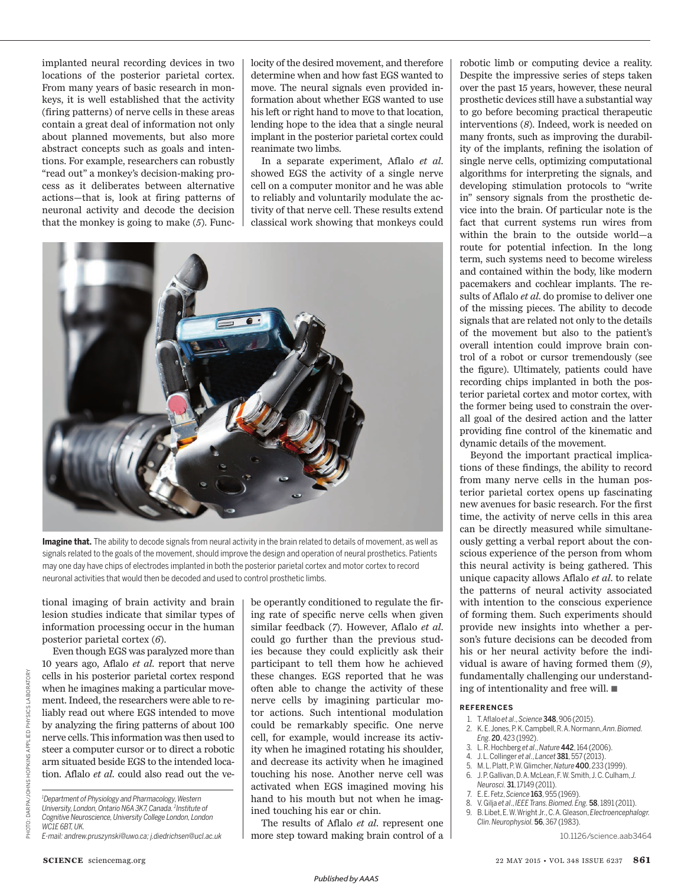implanted neural recording devices in two locations of the posterior parietal cortex. From many years of basic research in monkeys, it is well established that the activity (firing patterns) of nerve cells in these areas contain a great deal of information not only about planned movements, but also more abstract concepts such as goals and intentions. For example, researchers can robustly "read out" a monkey's decision-making process as it deliberates between alternative actions—that is, look at firing patterns of neuronal activity and decode the decision that the monkey is going to make (5). Funclocity of the desired movement, and therefore determine when and how fast EGS wanted to move. The neural signals even provided information about whether EGS wanted to use his left or right hand to move to that location, lending hope to the idea that a single neural implant in the posterior parietal cortex could reanimate two limbs.

In a separate experiment, Aflalo *et al*. showed EGS the activity of a single nerve cell on a computer monitor and he was able to reliably and voluntarily modulate the activity of that nerve cell. These results extend classical work showing that monkeys could



**Imagine that.** The ability to decode signals from neural activity in the brain related to details of movement, as well as signals related to the goals of the movement, should improve the design and operation of neural prosthetics. Patients may one day have chips of electrodes implanted in both the posterior parietal cortex and motor cortex to record neuronal activities that would then be decoded and used to control prosthetic limbs.

tional imaging of brain activity and brain lesion studies indicate that similar types of information processing occur in the human posterior parietal cortex (6).

Even though EGS was paralyzed more than 10 years ago, Aflalo *et al*. report that nerve cells in his posterior parietal cortex respond when he imagines making a particular movement. Indeed, the researchers were able to reliably read out where EGS intended to move by analyzing the firing patterns of about 100 nerve cells. This information was then used to steer a computer cursor or to direct a robotic arm situated beside EGS to the intended location. Aflalo *et al*. could also read out the vebe operantly conditioned to regulate the firing rate of specific nerve cells when given similar feedback (7). However, Aflalo *et al.* could go further than the previous studies because they could explicitly ask their participant to tell them how he achieved these changes. EGS reported that he was often able to change the activity of these nerve cells by imagining particular motor actions. Such intentional modulation could be remarkably specific. One nerve cell, for example, would increase its activity when he imagined rotating his shoulder, and decrease its activity when he imagined touching his nose. Another nerve cell was activated when EGS imagined moving his hand to his mouth but not when he imagined touching his ear or chin.

The results of Aflalo *et al*. represent one more step toward making brain control of a robotic limb or computing device a reality. Despite the impressive series of steps taken over the past 15 years, however, these neural prosthetic devices still have a substantial way to go before becoming practical therapeutic interventions (8). Indeed, work is needed on many fronts, such as improving the durability of the implants, refining the isolation of single nerve cells, optimizing computational algorithms for interpreting the signals, and developing stimulation protocols to "write in" sensory signals from the prosthetic device into the brain. Of particular note is the fact that current systems run wires from within the brain to the outside world—a route for potential infection. In the long term, such systems need to become wireless and contained within the body, like modern pacemakers and cochlear implants. The results of Aflalo *et al*. do promise to deliver one of the missing pieces. The ability to decode signals that are related not only to the details of the movement but also to the patient's overall intention could improve brain control of a robot or cursor tremendously (see the figure). Ultimately, patients could have recording chips implanted in both the posterior parietal cortex and motor cortex, with the former being used to constrain the overall goal of the desired action and the latter providing fine control of the kinematic and dynamic details of the movement.

Beyond the important practical implications of these findings, the ability to record from many nerve cells in the human posterior parietal cortex opens up fascinating new avenues for basic research. For the first time, the activity of nerve cells in this area can be directly measured while simultaneously getting a verbal report about the conscious experience of the person from whom this neural activity is being gathered. This unique capacity allows Aflalo *et al*. to relate the patterns of neural activity associated with intention to the conscious experience of forming them. Such experiments should provide new insights into whether a person's future decisions can be decoded from his or her neural activity before the individual is aware of having formed them  $(9)$ , fundamentally challenging our understanding of intentionality and free will. ■

#### **REFERENCES**

- 1. T. Aflalo *et al*., *Science* 348, 906 (2015).
- 2. K. E. Jones, P. K. Campbell, R. A. Normann, *Ann. Biomed. Eng.* 20, 423 (1992).
- 3. L. R. Hochberg *et al*., *Nature* 442, 164 (2006).
- 4. J. L. Collinger *et al*., *Lancet* 381, 557 (2013).
- 5. M. L. Platt, P. W. Glimcher, *Nature* 400, 233 (1999).
- 6. J. P. Gallivan, D. A. McLean, F. W. Smith, J. C. Culham, *J.*
- *Neurosci.* 31, 17149 (2011).
- 7. E. E. Fetz, *Science* 163, 955 (1969).
- 8. V. Gilja *et al*., *IEEE Trans. Biomed. Eng.* 58, 1891 (2011).
- 9. B. Libet, E. W. Wright Jr., C. A. Gleason, *Electroencephalogr. Clin. Neurophysiol.* 56, 367 (1983).

10.1126/science.aab3464

*<sup>1</sup>Department of Physiology and Pharmacology, Western University, London, Ontario N6A 3K7, Canada. <sup>2</sup> Institute of Cognitive Neuroscience, University College London, London WC1E 6BT, UK.* 

*E-mail: andrew.pruszynski@uwo.ca; j.diedrichsen@ucl.ac.uk*